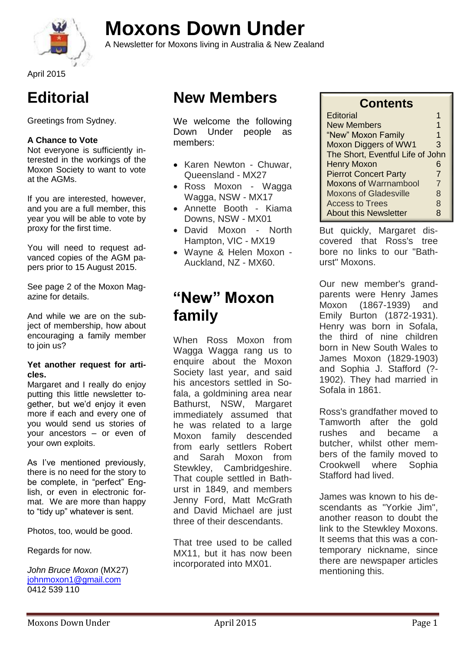

# **Moxons Down Under**

A Newsletter for Moxons living in Australia & New Zealand

**Editorial**

Greetings from Sydney.

#### **A Chance to Vote**

Not everyone is sufficiently interested in the workings of the Moxon Society to want to vote at the AGMs.

If you are interested, however, and you are a full member, this year you will be able to vote by proxy for the first time.

You will need to request advanced copies of the AGM papers prior to 15 August 2015.

See page 2 of the Moxon Magazine for details.

And while we are on the subject of membership, how about encouraging a family member to join us?

#### **Yet another request for articles.**

Margaret and I really do enjoy putting this little newsletter together, but we'd enjoy it even more if each and every one of you would send us stories of your ancestors – or even of your own exploits.

As I've mentioned previously, there is no need for the story to be complete, in "perfect" English, or even in electronic format. We are more than happy to "tidy up" whatever is sent.

Photos, too, would be good.

Regards for now.

*John Bruce Moxon* (MX27) [johnmoxon1@gmail.com](mailto:johnmoxon1@gmail.com) 0412 539 110

### **New Members**

We welcome the following Down Under people as members:

- Karen Newton Chuwar, Queensland - MX27
- Ross Moxon Wagga Wagga, NSW - MX17
- Annette Booth Kiama Downs, NSW - MX01
- David Moxon North Hampton, VIC - MX19
- Wayne & Helen Moxon Auckland, NZ - MX60.

### **"New" Moxon family**

When Ross Moxon from Wagga Wagga rang us to enquire about the Moxon Society last year, and said his ancestors settled in Sofala, a goldmining area near Bathurst, NSW, Margaret immediately assumed that he was related to a large Moxon family descended from early settlers Robert and Sarah Moxon from Stewkley, Cambridgeshire. That couple settled in Bathurst in 1849, and members Jenny Ford, Matt McGrath and David Michael are just three of their descendants.

That tree used to be called MX11, but it has now been incorporated into MX01.

| <b>Contents</b>                  |                |
|----------------------------------|----------------|
| Editorial                        | 1              |
| <b>New Members</b>               | 1              |
| "New" Moxon Family               | 1              |
| <b>Moxon Diggers of WW1</b>      | 3              |
| The Short, Eventful Life of John |                |
| <b>Henry Moxon</b>               | 6              |
| <b>Pierrot Concert Party</b>     | $\overline{7}$ |
| <b>Moxons of Warrnambool</b>     | 7              |
| <b>Moxons of Gladesville</b>     | 8              |
| <b>Access to Trees</b>           | 8              |
| <b>About this Newsletter</b>     | 8              |

**Contents**

But quickly, Margaret discovered that Ross's tree bore no links to our "Bathurst" Moxons.

Our new member's grandparents were Henry James Moxon (1867-1939) and Emily Burton (1872-1931). Henry was born in Sofala, the third of nine children born in New South Wales to James Moxon (1829-1903) and Sophia J. Stafford (?- 1902). They had married in Sofala in 1861.

Ross's grandfather moved to Tamworth after the gold rushes and became a butcher, whilst other members of the family moved to Crookwell where Sophia Stafford had lived.

James was known to his descendants as "Yorkie Jim", another reason to doubt the link to the Stewkley Moxons. It seems that this was a contemporary nickname, since there are newspaper articles mentioning this.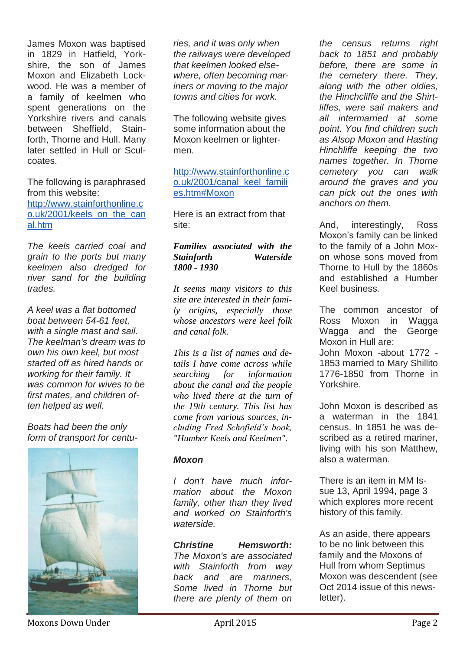James Moxon was baptised in 1829 in Hatfield, Yorkshire, the son of James Moxon and Elizabeth Lockwood. He was a member of a family of keelmen who spent generations on the Yorkshire rivers and canals between Sheffield, Stainforth, Thorne and Hull. Many later settled in Hull or Sculcoates.

The following is paraphrased from this website: [http://www.stainforthonline.c](http://www.stainforthonline.co.uk/2001/keels_on_the_canal.htm) [o.uk/2001/keels\\_on\\_the\\_can](http://www.stainforthonline.co.uk/2001/keels_on_the_canal.htm) [al.htm](http://www.stainforthonline.co.uk/2001/keels_on_the_canal.htm)

*The keels carried coal and grain to the ports but many keelmen also dredged for river sand for the building trades.*

*A keel was a flat bottomed boat between 54-61 feet, with a single mast and sail. The keelman's dream was to own his own keel, but most started off as hired hands or working for their family. It was common for wives to be first mates, and children often helped as well.*

*Boats had been the only form of transport for centu-*



*ries, and it was only when the railways were developed that keelmen looked elsewhere, often becoming mariners or moving to the major towns and cities for work.*

The following website gives some information about the Moxon keelmen or lightermen.

#### [http://www.stainforthonline.c](http://www.stainforthonline.co.uk/2001/canal_keel_families.htm#Moxon) [o.uk/2001/canal\\_keel\\_famili](http://www.stainforthonline.co.uk/2001/canal_keel_families.htm#Moxon) [es.htm#Moxon](http://www.stainforthonline.co.uk/2001/canal_keel_families.htm#Moxon)

Here is an extract from that site:

#### *Families associated with the Stainforth Waterside 1800 - 1930*

*It seems many visitors to this site are interested in their family origins, especially those whose ancestors were keel folk and canal folk.*

*This is a list of names and details I have come across while searching for information about the canal and the people who lived there at the turn of the 19th century. This list has come from various sources, including Fred Schofield's book, "Humber Keels and Keelmen".*

#### *Moxon*

*I don't have much information about the Moxon family, other than they lived and worked on Stainforth's waterside.*

*Christine Hemsworth: The Moxon's are associated with Stainforth from way back and are mariners, Some lived in Thorne but there are plenty of them on* 

*the census returns right back to 1851 and probably before, there are some in the cemetery there. They, along with the other oldies, the Hinchcliffe and the Shirtliffes, were sail makers and all intermarried at some point. You find children such as Alsop Moxon and Hasting Hinchliffe keeping the two names together. In Thorne cemetery you can walk around the graves and you can pick out the ones with anchors on them.*

And, interestingly, Ross Moxon's family can be linked to the family of a John Moxon whose sons moved from Thorne to Hull by the 1860s and established a Humber Keel business.

The common ancestor of Ross Moxon in Wagga Wagga and the George Moxon in Hull are:

John Moxon -about 1772 - 1853 married to Mary Shillito 1776-1850 from Thorne in Yorkshire.

John Moxon is described as a waterman in the 1841 census. In 1851 he was described as a retired mariner, living with his son Matthew, also a waterman.

There is an item in MM Issue 13, April 1994, page 3 which explores more recent history of this family.

As an aside, there appears to be no link between this family and the Moxons of Hull from whom Septimus Moxon was descendent (see Oct 2014 issue of this newsletter).

Moxons Down Under **April 2015** Page 2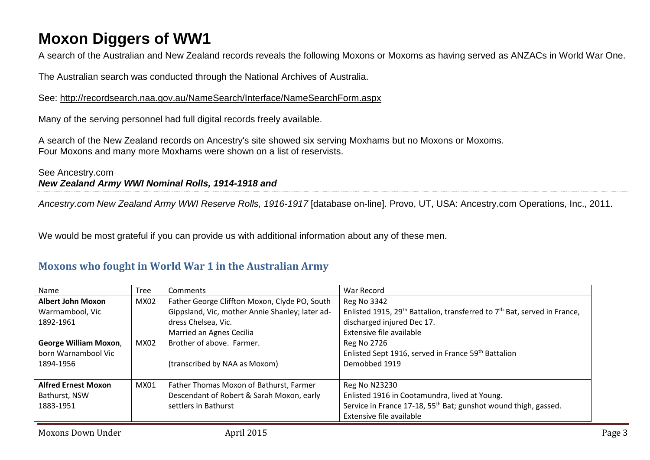### **Moxon Diggers of WW1**

A search of the Australian and New Zealand records reveals the following Moxons or Moxoms as having served as ANZACs in World War One.

The Australian search was conducted through the National Archives of Australia.

See:<http://recordsearch.naa.gov.au/NameSearch/Interface/NameSearchForm.aspx>

Many of the serving personnel had full digital records freely available.

A search of the New Zealand records on Ancestry's site showed six serving Moxhams but no Moxons or Moxoms. Four Moxons and many more Moxhams were shown on a list of reservists.

#### See Ancestry.com *New Zealand Army WWI Nominal Rolls, 1914-1918 and*

*Ancestry.com New Zealand Army WWI Reserve Rolls, 1916-1917* [database on-line]. Provo, UT, USA: Ancestry.com Operations, Inc., 2011.

We would be most grateful if you can provide us with additional information about any of these men.

#### **Moxons who fought in World War 1 in the Australian Army**

| Name                         | <b>Tree</b> | Comments                                        | War Record                                                                             |
|------------------------------|-------------|-------------------------------------------------|----------------------------------------------------------------------------------------|
| <b>Albert John Moxon</b>     | MX02        | Father George Cliffton Moxon, Clyde PO, South   | <b>Reg No 3342</b>                                                                     |
| Warrnambool, Vic             |             | Gippsland, Vic, mother Annie Shanley; later ad- | Enlisted 1915, 29 <sup>th</sup> Battalion, transferred to $7th$ Bat, served in France, |
| 1892-1961                    |             | dress Chelsea, Vic.                             | discharged injured Dec 17.                                                             |
|                              |             | Married an Agnes Cecilia                        | Extensive file available                                                               |
| <b>George William Moxon,</b> | MX02        | Brother of above. Farmer.                       | Reg No 2726                                                                            |
| born Warnambool Vic          |             |                                                 | Enlisted Sept 1916, served in France 59th Battalion                                    |
| 1894-1956                    |             | (transcribed by NAA as Moxom)                   | Demobbed 1919                                                                          |
|                              |             |                                                 |                                                                                        |
| <b>Alfred Ernest Moxon</b>   | MX01        | Father Thomas Moxon of Bathurst, Farmer         | Reg No N23230                                                                          |
| Bathurst, NSW                |             | Descendant of Robert & Sarah Moxon, early       | Enlisted 1916 in Cootamundra, lived at Young.                                          |
| 1883-1951                    |             | settlers in Bathurst                            | Service in France 17-18, 55 <sup>th</sup> Bat; gunshot wound thigh, gassed.            |
|                              |             |                                                 | Extensive file available                                                               |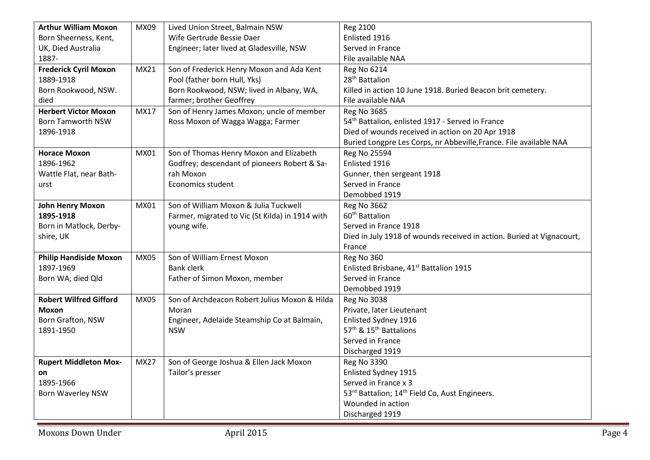| <b>Arthur William Moxon</b>   | MX09        | Lived Union Street, Balmain NSW                 | Reg 2100                                                              |
|-------------------------------|-------------|-------------------------------------------------|-----------------------------------------------------------------------|
| Born Sheerness, Kent,         |             | Wife Gertrude Bessie Daer                       | Enlisted 1916                                                         |
| UK, Died Australia            |             | Engineer; later lived at Gladesville, NSW       | Served in France                                                      |
| 1887-                         |             |                                                 | File available NAA                                                    |
| <b>Frederick Cyril Moxon</b>  | MX21        | Son of Frederick Henry Moxon and Ada Kent       | <b>Reg No 6214</b>                                                    |
| 1889-1918                     |             | Pool (father born Hull, Yks)                    | 28 <sup>th</sup> Battalion                                            |
| Born Rookwood, NSW.           |             | Born Rookwood, NSW; lived in Albany, WA,        | Killed in action 10 June 1918. Buried Beacon brit cemetery.           |
| died                          |             | farmer; brother Geoffrey                        | File available NAA                                                    |
| <b>Herbert Victor Moxon</b>   | MX17        | Son of Henry James Moxon; uncle of member       | <b>Reg No 3685</b>                                                    |
| <b>Born Tamworth NSW</b>      |             | Ross Moxon of Wagga Wagga; Farmer               | 54 <sup>th</sup> Battalion, enlisted 1917 - Served in France          |
| 1896-1918                     |             |                                                 | Died of wounds received in action on 20 Apr 1918                      |
|                               |             |                                                 | Buried Longpre Les Corps, nr Abbeville, France. File available NAA    |
| <b>Horace Moxon</b>           | MX01        | Son of Thomas Henry Moxon and Elizabeth         | Reg No 25594                                                          |
| 1896-1962                     |             | Godfrey; descendant of pioneers Robert & Sa-    | Enlisted 1916                                                         |
| Wattle Flat, near Bath-       |             | rah Moxon                                       | Gunner, then sergeant 1918                                            |
| urst                          |             | Economics student                               | Served in France                                                      |
|                               |             |                                                 | Demobbed 1919                                                         |
| <b>John Henry Moxon</b>       | MX01        | Son of William Moxon & Julia Tuckwell           | <b>Reg No 3662</b>                                                    |
| 1895-1918                     |             | Farmer, migrated to Vic (St Kilda) in 1914 with | 60 <sup>th</sup> Battalion                                            |
| Born in Matlock, Derby-       |             | young wife.                                     | Served in France 1918                                                 |
| shire, UK                     |             |                                                 | Died in July 1918 of wounds received in action. Buried at Vignacourt, |
|                               |             |                                                 | France                                                                |
| <b>Philip Handiside Moxon</b> | <b>MX05</b> | Son of William Ernest Moxon                     | Reg No 360                                                            |
| 1897-1969                     |             | <b>Bank clerk</b>                               | Enlisted Brisbane, 41 <sup>st</sup> Battalion 1915                    |
| Born WA; died Qld             |             | Father of Simon Moxon, member                   | Served in France                                                      |
|                               |             |                                                 | Demobbed 1919                                                         |
| <b>Robert Wilfred Gifford</b> | <b>MX05</b> | Son of Archdeacon Robert Julius Moxon & Hilda   | <b>Reg No 3038</b>                                                    |
| Moxon                         |             | Moran                                           | Private, later Lieutenant                                             |
| Born Grafton, NSW             |             | Engineer, Adelaide Steamship Co at Balmain,     | Enlisted Sydney 1916                                                  |
| 1891-1950                     |             | <b>NSW</b>                                      | 57 <sup>th</sup> & 15 <sup>th</sup> Battalions                        |
|                               |             |                                                 | Served in France                                                      |
|                               |             |                                                 | Discharged 1919                                                       |
| <b>Rupert Middleton Mox-</b>  | <b>MX27</b> | Son of George Joshua & Ellen Jack Moxon         | <b>Reg No 3390</b>                                                    |
| on                            |             | Tailor's presser                                | Enlisted Sydney 1915                                                  |
| 1895-1966                     |             |                                                 | Served in France x 3                                                  |
| <b>Born Waverley NSW</b>      |             |                                                 | 53rd Battalion; 14 <sup>th</sup> Field Co, Aust Engineers.            |
|                               |             |                                                 | Wounded in action                                                     |
|                               |             |                                                 | Discharged 1919                                                       |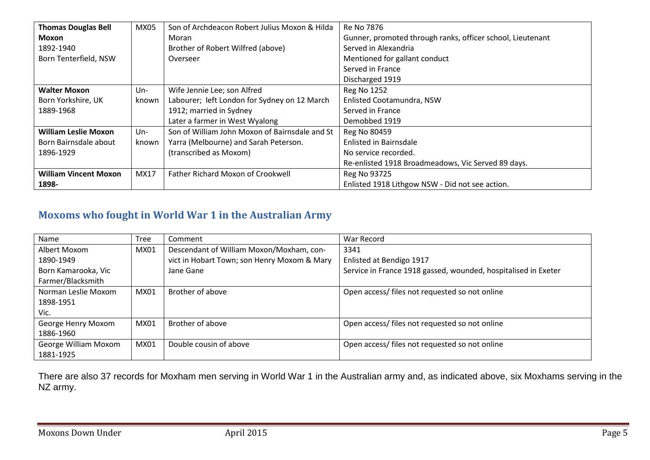| <b>Thomas Douglas Bell</b>   | <b>MX05</b> | Son of Archdeacon Robert Julius Moxon & Hilda  | Re No 7876                                                 |
|------------------------------|-------------|------------------------------------------------|------------------------------------------------------------|
| <b>Moxon</b>                 |             | Moran                                          | Gunner, promoted through ranks, officer school, Lieutenant |
| 1892-1940                    |             | Brother of Robert Wilfred (above)              | Served in Alexandria                                       |
| Born Tenterfield, NSW        |             | Overseer                                       | Mentioned for gallant conduct                              |
|                              |             |                                                | Served in France                                           |
|                              |             |                                                | Discharged 1919                                            |
| <b>Walter Moxon</b>          | $Un-$       | Wife Jennie Lee; son Alfred                    | <b>Reg No 1252</b>                                         |
| Born Yorkshire, UK           | known       | Labourer; left London for Sydney on 12 March   | Enlisted Cootamundra, NSW                                  |
| 1889-1968                    |             | 1912; married in Sydney                        | Served in France                                           |
|                              |             | Later a farmer in West Wyalong                 | Demobbed 1919                                              |
| <b>William Leslie Moxon</b>  | $Un-$       | Son of William John Moxon of Bairnsdale and St | Reg No 80459                                               |
| Born Bairnsdale about        | known       | Yarra (Melbourne) and Sarah Peterson.          | <b>Enlisted in Bairnsdale</b>                              |
| 1896-1929                    |             | (transcribed as Moxom)                         | No service recorded.                                       |
|                              |             |                                                | Re-enlisted 1918 Broadmeadows, Vic Served 89 days.         |
| <b>William Vincent Moxon</b> | MX17        | Father Richard Moxon of Crookwell              | Reg No 93725                                               |
| 1898-                        |             |                                                | Enlisted 1918 Lithgow NSW - Did not see action.            |

### **Moxoms who fought in World War 1 in the Australian Army**

| Name                 | <b>Tree</b> | Comment                                     | War Record                                                     |
|----------------------|-------------|---------------------------------------------|----------------------------------------------------------------|
| Albert Moxom         | MX01        | Descendant of William Moxon/Moxham, con-    | 3341                                                           |
| 1890-1949            |             | vict in Hobart Town; son Henry Moxom & Mary | Enlisted at Bendigo 1917                                       |
| Born Kamarooka, Vic  |             | Jane Gane                                   | Service in France 1918 gassed, wounded, hospitalised in Exeter |
| Farmer/Blacksmith    |             |                                             |                                                                |
| Norman Leslie Moxom  | <b>MX01</b> | Brother of above                            | Open access/files not requested so not online                  |
| 1898-1951            |             |                                             |                                                                |
| Vic.                 |             |                                             |                                                                |
| George Henry Moxom   | MX01        | Brother of above                            | Open access/ files not requested so not online                 |
| 1886-1960            |             |                                             |                                                                |
| George William Moxom | MX01        | Double cousin of above                      | Open access/ files not requested so not online                 |
| 1881-1925            |             |                                             |                                                                |

There are also 37 records for Moxham men serving in World War 1 in the Australian army and, as indicated above, six Moxhams serving in the NZ army.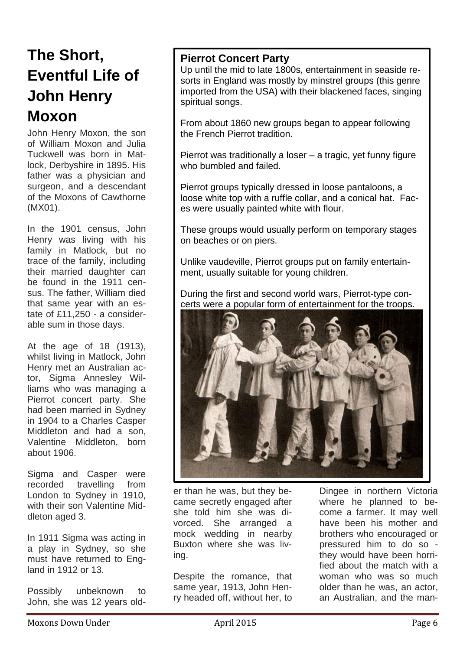## **The Short, Eventful Life of John Henry Moxon**

John Henry Moxon, the son of William Moxon and Julia Tuckwell was born in Matlock, Derbyshire in 1895. His father was a physician and surgeon, and a descendant of the Moxons of Cawthorne (MX01).

In the 1901 census, John Henry was living with his family in Matlock, but no trace of the family, including their married daughter can be found in the 1911 census. The father, William died that same year with an estate of £11,250 - a considerable sum in those days.

At the age of 18 (1913), whilst living in Matlock, John Henry met an Australian actor, Sigma Annesley Williams who was managing a Pierrot concert party. She had been married in Sydney in 1904 to a Charles Casper Middleton and had a son, Valentine Middleton, born about 1906.

Sigma and Casper were recorded travelling from London to Sydney in 1910, with their son Valentine Middleton aged 3.

In 1911 Sigma was acting in a play in Sydney, so she must have returned to England in 1912 or 13.

Possibly unbeknown to John, she was 12 years old-

#### **Pierrot Concert Party**

Up until the mid to late 1800s, entertainment in seaside resorts in England was mostly by minstrel groups (this genre imported from the USA) with their blackened faces, singing spiritual songs.

From about 1860 new groups began to appear following the French Pierrot tradition.

Pierrot was traditionally a loser – a tragic, yet funny figure who bumbled and failed.

Pierrot groups typically dressed in loose pantaloons, a loose white top with a ruffle collar, and a conical hat. Faces were usually painted white with flour.

These groups would usually perform on temporary stages on beaches or on piers.

Unlike vaudeville, Pierrot groups put on family entertainment, usually suitable for young children.

During the first and second world wars, Pierrot-type concerts were a popular form of entertainment for the troops.



er than he was, but they became secretly engaged after she told him she was divorced. She arranged a mock wedding in nearby Buxton where she was living.

Despite the romance, that same year, 1913, John Henry headed off, without her, to

Dingee in northern Victoria where he planned to become a farmer. It may well have been his mother and brothers who encouraged or pressured him to do so they would have been horrified about the match with a woman who was so much older than he was, an actor, an Australian, and the man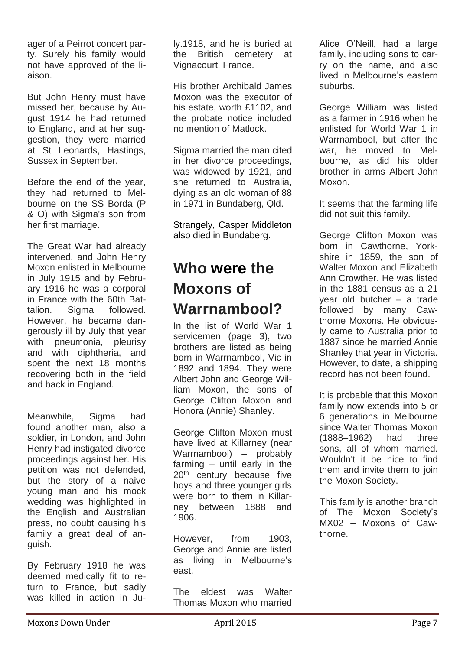ager of a Peirrot concert party. Surely his family would not have approved of the liaison.

But John Henry must have missed her, because by August 1914 he had returned to England, and at her suggestion, they were married at St Leonards, Hastings, Sussex in September.

Before the end of the year, they had returned to Melbourne on the SS Borda (P & O) with Sigma's son from her first marriage.

The Great War had already intervened, and John Henry Moxon enlisted in Melbourne in July 1915 and by February 1916 he was a corporal in France with the 60th Battalion. Sigma followed. However, he became dangerously ill by July that year with pneumonia, pleurisy and with diphtheria, and spent the next 18 months recovering both in the field and back in England.

Meanwhile, Sigma had found another man, also a soldier, in London, and John Henry had instigated divorce proceedings against her. His petition was not defended, but the story of a naive young man and his mock wedding was highlighted in the English and Australian press, no doubt causing his family a great deal of anguish.

By February 1918 he was deemed medically fit to return to France, but sadly was killed in action in July.1918, and he is buried at the British cemetery at Vignacourt, France.

His brother Archibald James Moxon was the executor of his estate, worth £1102, and the probate notice included no mention of Matlock.

Sigma married the man cited in her divorce proceedings, was widowed by 1921, and she returned to Australia, dying as an old woman of 88 in 1971 in Bundaberg, Qld.

Strangely, Casper Middleton also died in Bundaberg.

### **Who were the Moxons of Warrnambool?**

In the list of World War 1 servicemen (page 3), two brothers are listed as being born in Warrnambool, Vic in 1892 and 1894. They were Albert John and George William Moxon, the sons of George Clifton Moxon and Honora (Annie) Shanley.

George Clifton Moxon must have lived at Killarney (near Warrnambool) – probably farming – until early in the 20<sup>th</sup> century because five boys and three younger girls were born to them in Killarney between 1888 and 1906.

However, from 1903, George and Annie are listed as living in Melbourne's east.

The eldest was Walter Thomas Moxon who married Alice O'Neill, had a large family, including sons to carry on the name, and also lived in Melbourne's eastern suburbs.

George William was listed as a farmer in 1916 when he enlisted for World War 1 in Warrnambool, but after the war, he moved to Melbourne, as did his older brother in arms Albert John Moxon.

It seems that the farming life did not suit this family.

George Clifton Moxon was born in Cawthorne, Yorkshire in 1859, the son of Walter Moxon and Elizabeth Ann Crowther. He was listed in the 1881 census as a 21 year old butcher – a trade followed by many Cawthorne Moxons. He obviously came to Australia prior to 1887 since he married Annie Shanley that year in Victoria. However, to date, a shipping record has not been found.

It is probable that this Moxon family now extends into 5 or 6 generations in Melbourne since Walter Thomas Moxon (1888–1962) had three sons, all of whom married. Wouldn't it be nice to find them and invite them to join the Moxon Society.

This family is another branch of The Moxon Society's MX02 – Moxons of Cawthorne.